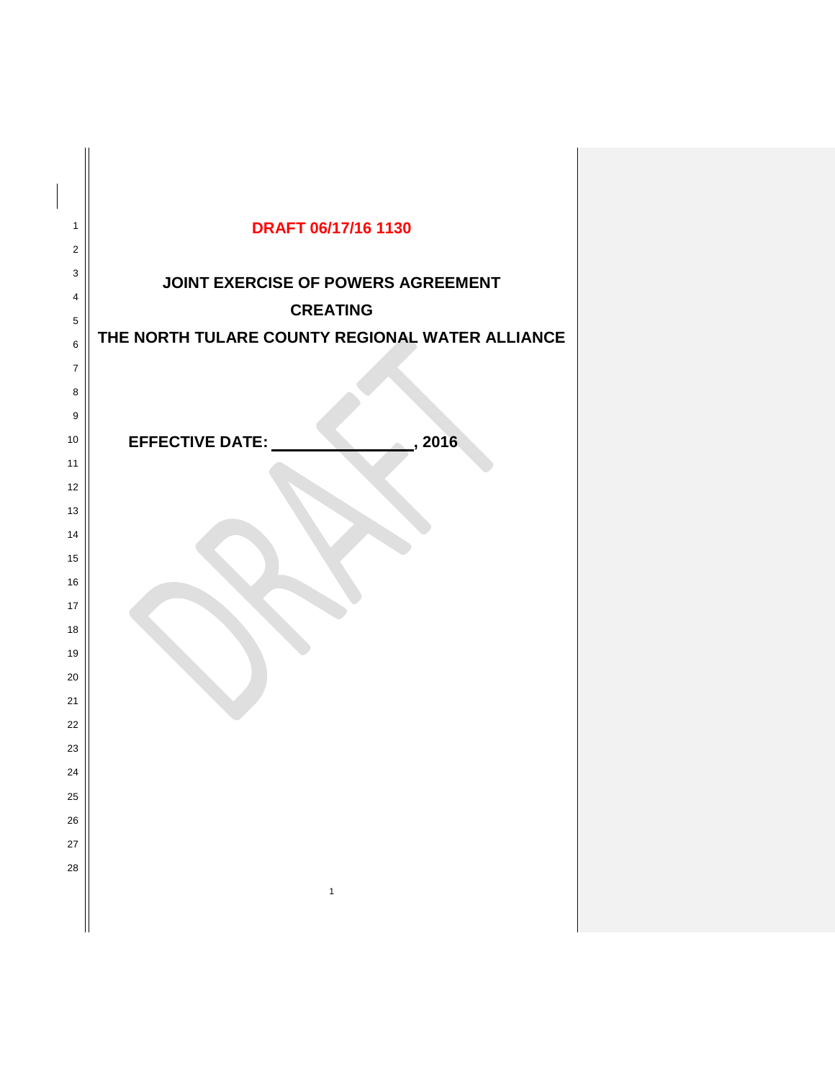| 1<br>$\overline{2}$ | DRAFT 06/17/16 1130                             |  |  |
|---------------------|-------------------------------------------------|--|--|
| 3                   |                                                 |  |  |
| 4                   | JOINT EXERCISE OF POWERS AGREEMENT              |  |  |
| 5                   | <b>CREATING</b>                                 |  |  |
| $\,6\,$             | THE NORTH TULARE COUNTY REGIONAL WATER ALLIANCE |  |  |
| $\overline{7}$      |                                                 |  |  |
| 8                   |                                                 |  |  |
| 9                   |                                                 |  |  |
| 10                  | <b>EFFECTIVE DATE:</b><br>2016                  |  |  |
| 11                  |                                                 |  |  |
| 12                  |                                                 |  |  |
| 13                  |                                                 |  |  |
| 14                  |                                                 |  |  |
| 15                  |                                                 |  |  |
| 16                  |                                                 |  |  |
| 17                  |                                                 |  |  |
| 18                  |                                                 |  |  |
| 19<br>20            |                                                 |  |  |
| 21                  |                                                 |  |  |
| 22                  |                                                 |  |  |
| 23                  |                                                 |  |  |
| 24                  |                                                 |  |  |
| 25                  |                                                 |  |  |
| 26                  |                                                 |  |  |
| 27                  |                                                 |  |  |
| 28                  |                                                 |  |  |
|                     | $\mathbf{1}$                                    |  |  |
|                     |                                                 |  |  |

 $\overline{\phantom{a}}$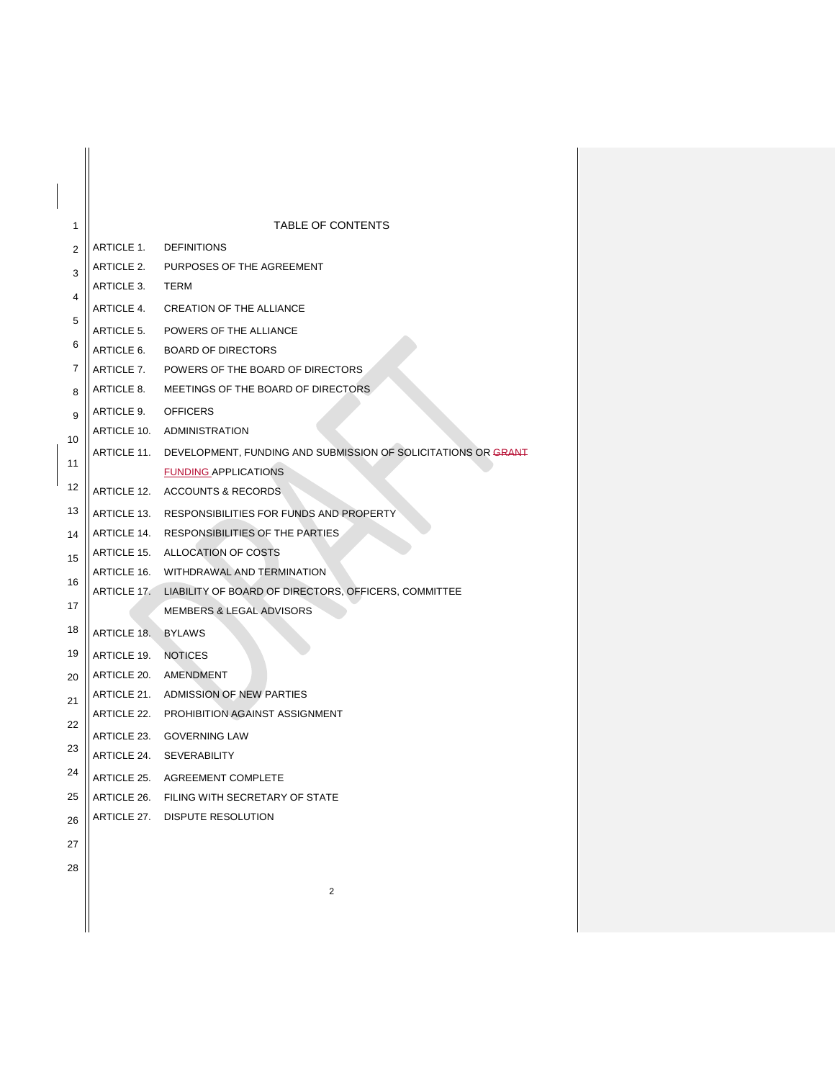| 1  |                            | <b>TABLE OF CONTENTS</b>                                      |
|----|----------------------------|---------------------------------------------------------------|
| 2  | ARTICLE 1.                 | <b>DEFINITIONS</b>                                            |
|    | ARTICLE 2.                 | PURPOSES OF THE AGREEMENT                                     |
| 3  | ARTICLE 3.                 | TERM                                                          |
| 4  | <b>ARTICLE 4.</b>          | <b>CREATION OF THE ALLIANCE</b>                               |
| 5  | ARTICLE 5.                 | POWERS OF THE ALLIANCE                                        |
| 6  | ARTICLE 6.                 | <b>BOARD OF DIRECTORS</b>                                     |
| 7  | ARTICLE 7.                 | POWERS OF THE BOARD OF DIRECTORS                              |
| 8  | ARTICLE 8.                 | MEETINGS OF THE BOARD OF DIRECTORS                            |
| 9  | ARTICLE 9.                 | <b>OFFICERS</b>                                               |
| 10 | ARTICLE 10.                | <b>ADMINISTRATION</b>                                         |
| 11 | ARTICLE 11.                | DEVELOPMENT, FUNDING AND SUBMISSION OF SOLICITATIONS OR GRANT |
| 12 |                            | <b>FUNDING APPLICATIONS</b>                                   |
|    | ARTICLE 12.                | <b>ACCOUNTS &amp; RECORDS</b>                                 |
| 13 | ARTICLE 13.                | <b>RESPONSIBILITIES FOR FUNDS AND PROPERTY</b>                |
| 14 | ARTICLE 14.                | RESPONSIBILITIES OF THE PARTIES                               |
| 15 | ARTICLE 15.                | ALLOCATION OF COSTS                                           |
| 16 | ARTICLE 16.                | WITHDRAWAL AND TERMINATION                                    |
| 17 | <b>ARTICLE 17.</b>         | LIABILITY OF BOARD OF DIRECTORS, OFFICERS, COMMITTEE          |
| 18 |                            | <b>MEMBERS &amp; LEGAL ADVISORS</b>                           |
| 19 | ARTICLE 18.                | <b>BYLAWS</b>                                                 |
|    | ARTICLE 19.                | <b>NOTICES</b>                                                |
| 20 | ARTICLE 20.<br>ARTICLE 21. | AMENDMENT<br>ADMISSION OF NEW PARTIES                         |
| 21 | ARTICLE 22.                | PROHIBITION AGAINST ASSIGNMENT                                |
| 22 | ARTICLE 23.                | <b>GOVERNING LAW</b>                                          |
| 23 | ARTICLE 24.                | SEVERABILITY                                                  |
| 24 | ARTICLE 25.                | AGREEMENT COMPLETE                                            |
| 25 | ARTICLE 26.                | FILING WITH SECRETARY OF STATE                                |
| 26 |                            | ARTICLE 27. DISPUTE RESOLUTION                                |
| 27 |                            |                                                               |
| 28 |                            |                                                               |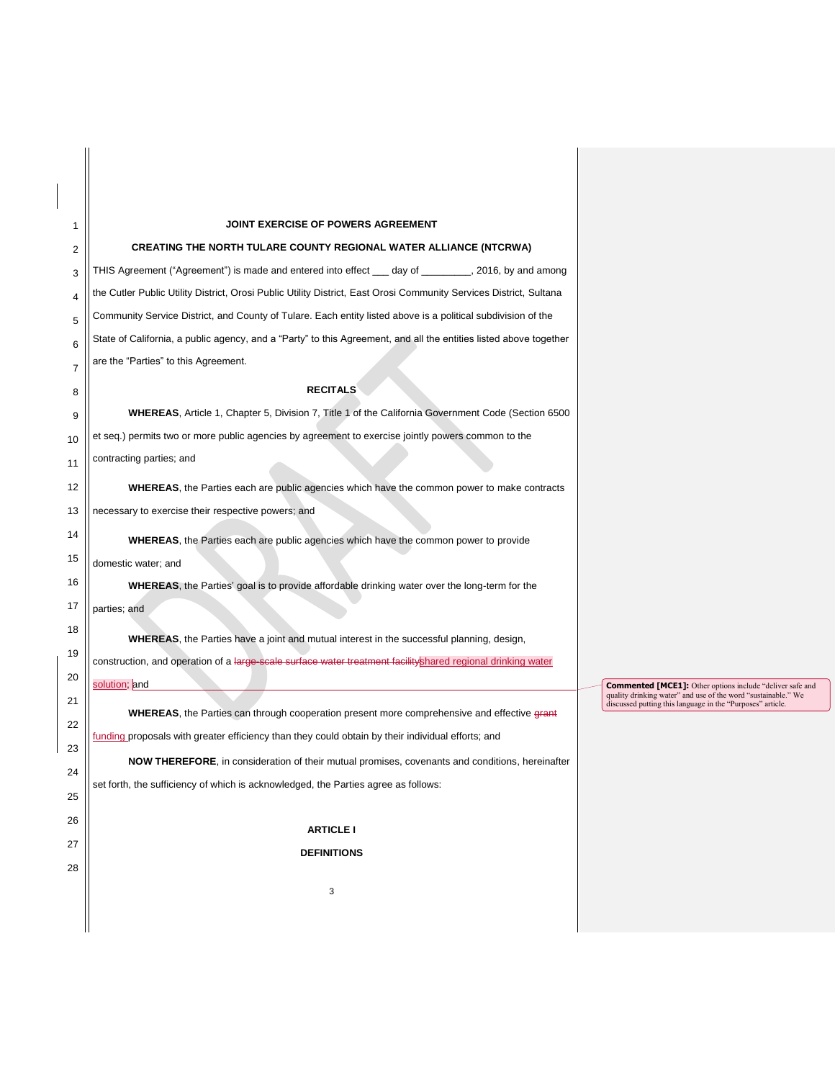| 1              | JOINT EXERCISE OF POWERS AGREEMENT                                                                                 |                                                                                                                             |
|----------------|--------------------------------------------------------------------------------------------------------------------|-----------------------------------------------------------------------------------------------------------------------------|
| 2              | <b>CREATING THE NORTH TULARE COUNTY REGIONAL WATER ALLIANCE (NTCRWA)</b>                                           |                                                                                                                             |
| 3              | THIS Agreement ("Agreement") is made and entered into effect ___ day of _________, 2016, by and among              |                                                                                                                             |
| 4              | the Cutler Public Utility District, Orosi Public Utility District, East Orosi Community Services District, Sultana |                                                                                                                             |
| 5              | Community Service District, and County of Tulare. Each entity listed above is a political subdivision of the       |                                                                                                                             |
| 6              | State of California, a public agency, and a "Party" to this Agreement, and all the entities listed above together  |                                                                                                                             |
| $\overline{7}$ | are the "Parties" to this Agreement.                                                                               |                                                                                                                             |
| 8              | <b>RECITALS</b>                                                                                                    |                                                                                                                             |
| 9              | WHEREAS, Article 1, Chapter 5, Division 7, Title 1 of the California Government Code (Section 6500                 |                                                                                                                             |
| 10             | et seq.) permits two or more public agencies by agreement to exercise jointly powers common to the                 |                                                                                                                             |
| 11             | contracting parties; and                                                                                           |                                                                                                                             |
| 12             | WHEREAS, the Parties each are public agencies which have the common power to make contracts                        |                                                                                                                             |
| 13             | necessary to exercise their respective powers; and                                                                 |                                                                                                                             |
| 14             | WHEREAS, the Parties each are public agencies which have the common power to provide                               |                                                                                                                             |
| 15             | domestic water; and                                                                                                |                                                                                                                             |
| 16             | WHEREAS, the Parties' goal is to provide affordable drinking water over the long-term for the                      |                                                                                                                             |
| 17             | parties; and                                                                                                       |                                                                                                                             |
| 18             | WHEREAS, the Parties have a joint and mutual interest in the successful planning, design,                          |                                                                                                                             |
| 19             | construction, and operation of a large-scale surface water treatment facility shared regional drinking water       |                                                                                                                             |
| 20             | solution; and                                                                                                      | <b>Commented [MCE1]:</b> Other options include "deliver safe and                                                            |
| 21             | <b>WHEREAS</b> , the Parties can through cooperation present more comprehensive and effective grant                | quality drinking water" and use of the word "sustainable." We<br>discussed putting this language in the "Purposes" article. |
| 22             | funding proposals with greater efficiency than they could obtain by their individual efforts; and                  |                                                                                                                             |
| 23             | NOW THEREFORE, in consideration of their mutual promises, covenants and conditions, hereinafter                    |                                                                                                                             |
| 24             | set forth, the sufficiency of which is acknowledged, the Parties agree as follows:                                 |                                                                                                                             |
| 25             |                                                                                                                    |                                                                                                                             |
| 26             | <b>ARTICLE I</b>                                                                                                   |                                                                                                                             |
| 27             | <b>DEFINITIONS</b>                                                                                                 |                                                                                                                             |
| 28             |                                                                                                                    |                                                                                                                             |
|                | 3                                                                                                                  |                                                                                                                             |
|                |                                                                                                                    |                                                                                                                             |

 $\begin{array}{c} \hline \end{array}$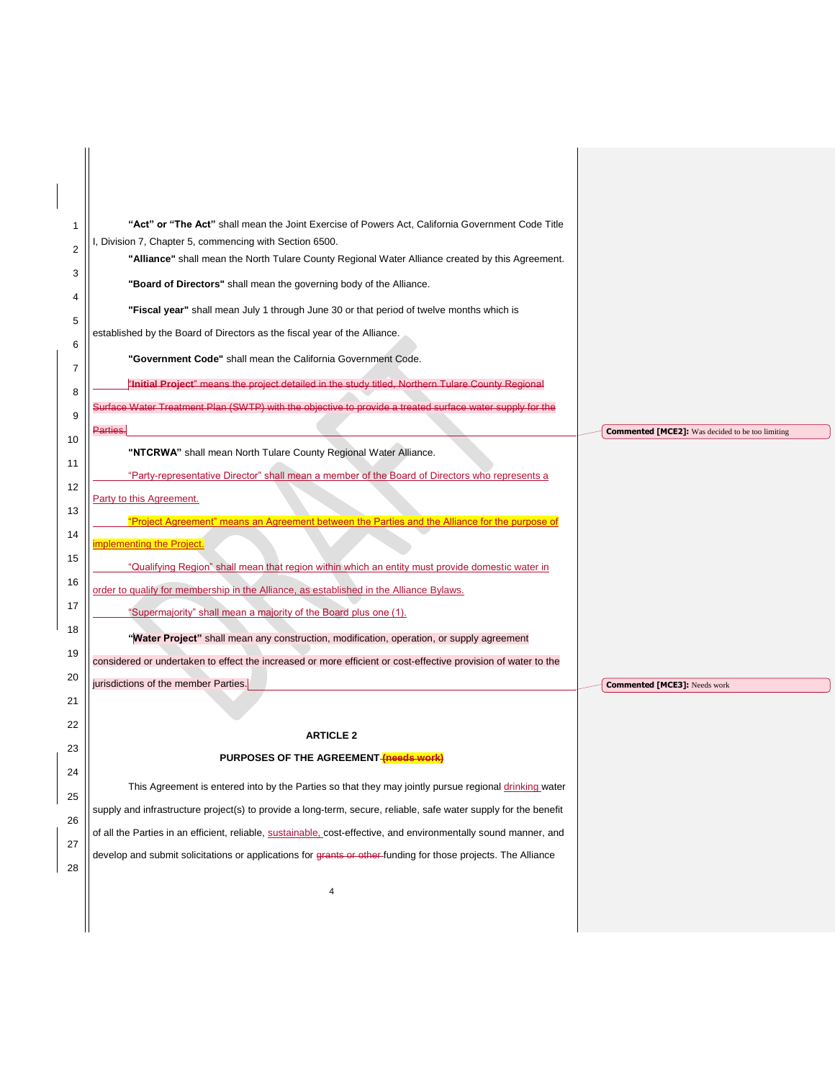| 1              | "Act" or "The Act" shall mean the Joint Exercise of Powers Act, California Government Code Title                 |                                                         |
|----------------|------------------------------------------------------------------------------------------------------------------|---------------------------------------------------------|
| $\overline{2}$ | I, Division 7, Chapter 5, commencing with Section 6500.                                                          |                                                         |
|                | "Alliance" shall mean the North Tulare County Regional Water Alliance created by this Agreement.                 |                                                         |
| 3              | "Board of Directors" shall mean the governing body of the Alliance.                                              |                                                         |
| 4              | "Fiscal year" shall mean July 1 through June 30 or that period of twelve months which is                         |                                                         |
| 5              | established by the Board of Directors as the fiscal year of the Alliance.                                        |                                                         |
| 6              | "Government Code" shall mean the California Government Code.                                                     |                                                         |
| $\overline{7}$ |                                                                                                                  |                                                         |
| 8              | "Initial Project" means the project detailed in the study titled, Northern Tulare County Regional                |                                                         |
| 9              | Surface Water Treatment Plan (SWTP) with the objective to provide a treated surface water supply for the         |                                                         |
| 10             | Parties.                                                                                                         | <b>Commented [MCE2]:</b> Was decided to be too limiting |
| 11             | "NTCRWA" shall mean North Tulare County Regional Water Alliance.                                                 |                                                         |
|                | "Party-representative Director" shall mean a member of the Board of Directors who represents a                   |                                                         |
| 12             | Party to this Agreement.                                                                                         |                                                         |
| 13             | "Project Agreement" means an Agreement between the Parties and the Alliance for the purpose of                   |                                                         |
| 14             | implementing the Project.                                                                                        |                                                         |
| 15             | "Qualifying Region" shall mean that region within which an entity must provide domestic water in                 |                                                         |
| 16             | order to qualify for membership in the Alliance, as established in the Alliance Bylaws.                          |                                                         |
| 17             | "Supermajority" shall mean a majority of the Board plus one (1).                                                 |                                                         |
| 18             |                                                                                                                  |                                                         |
| 19             | "Water Project" shall mean any construction, modification, operation, or supply agreement                        |                                                         |
| 20             | considered or undertaken to effect the increased or more efficient or cost-effective provision of water to the   |                                                         |
|                | jurisdictions of the member Parties.                                                                             | <b>Commented [MCE3]: Needs work</b>                     |
| 21             |                                                                                                                  |                                                         |
| 22             | <b>ARTICLE 2</b>                                                                                                 |                                                         |
| 23             | PURPOSES OF THE AGREEMENT (needs work)                                                                           |                                                         |
| 24             |                                                                                                                  |                                                         |
| 25             | This Agreement is entered into by the Parties so that they may jointly pursue regional drinking water            |                                                         |
| 26             | supply and infrastructure project(s) to provide a long-term, secure, reliable, safe water supply for the benefit |                                                         |
| 27             | of all the Parties in an efficient, reliable, sustainable, cost-effective, and environmentally sound manner, and |                                                         |
|                | develop and submit solicitations or applications for grants or other funding for those projects. The Alliance    |                                                         |
| 28             |                                                                                                                  |                                                         |
|                | 4                                                                                                                |                                                         |
|                |                                                                                                                  |                                                         |
|                |                                                                                                                  |                                                         |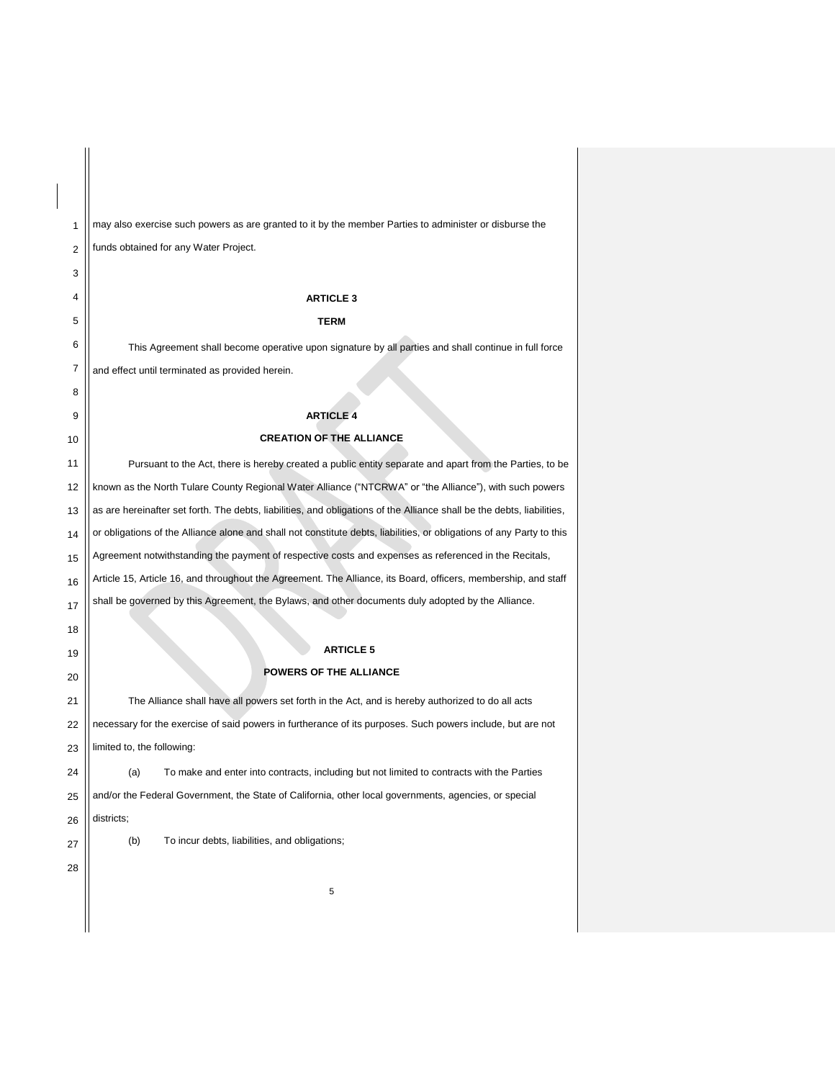5 1 2 3 4 5 6 7 8 9 10 11 12 13 14 15 16 17 18 19 20 21 22 23 24 25 26 27 28 may also exercise such powers as are granted to it by the member Parties to administer or disburse the funds obtained for any Water Project. **ARTICLE 3 TERM** This Agreement shall become operative upon signature by all parties and shall continue in full force and effect until terminated as provided herein. **ARTICLE 4 CREATION OF THE ALLIANCE** Pursuant to the Act, there is hereby created a public entity separate and apart from the Parties, to be known as the North Tulare County Regional Water Alliance ("NTCRWA" or "the Alliance"), with such powers as are hereinafter set forth. The debts, liabilities, and obligations of the Alliance shall be the debts, liabilities, or obligations of the Alliance alone and shall not constitute debts, liabilities, or obligations of any Party to this Agreement notwithstanding the payment of respective costs and expenses as referenced in the Recitals, Article 15, Article 16, and throughout the Agreement. The Alliance, its Board, officers, membership, and staff shall be governed by this Agreement, the Bylaws, and other documents duly adopted by the Alliance. **ARTICLE 5 POWERS OF THE ALLIANCE** The Alliance shall have all powers set forth in the Act, and is hereby authorized to do all acts necessary for the exercise of said powers in furtherance of its purposes. Such powers include, but are not limited to, the following: (a) To make and enter into contracts, including but not limited to contracts with the Parties and/or the Federal Government, the State of California, other local governments, agencies, or special districts; (b) To incur debts, liabilities, and obligations;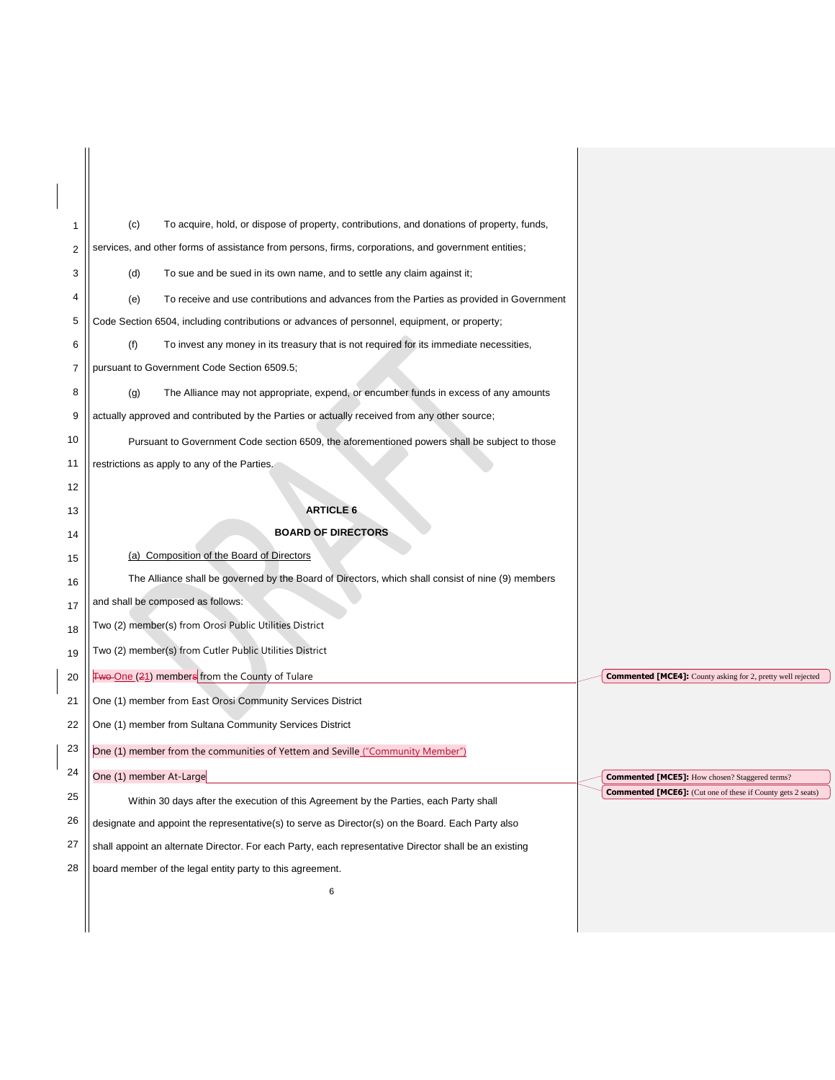| 1  | To acquire, hold, or dispose of property, contributions, and donations of property, funds,<br>(c)      |                                                                    |
|----|--------------------------------------------------------------------------------------------------------|--------------------------------------------------------------------|
| 2  | services, and other forms of assistance from persons, firms, corporations, and government entities;    |                                                                    |
| 3  | To sue and be sued in its own name, and to settle any claim against it;<br>(d)                         |                                                                    |
| 4  | To receive and use contributions and advances from the Parties as provided in Government<br>(e)        |                                                                    |
| 5  | Code Section 6504, including contributions or advances of personnel, equipment, or property;           |                                                                    |
| 6  | (f)<br>To invest any money in its treasury that is not required for its immediate necessities,         |                                                                    |
| 7  | pursuant to Government Code Section 6509.5,                                                            |                                                                    |
| 8  | (g)<br>The Alliance may not appropriate, expend, or encumber funds in excess of any amounts            |                                                                    |
| 9  | actually approved and contributed by the Parties or actually received from any other source;           |                                                                    |
| 10 | Pursuant to Government Code section 6509, the aforementioned powers shall be subject to those          |                                                                    |
| 11 | restrictions as apply to any of the Parties.                                                           |                                                                    |
| 12 |                                                                                                        |                                                                    |
| 13 | <b>ARTICLE 6</b>                                                                                       |                                                                    |
| 14 | <b>BOARD OF DIRECTORS</b>                                                                              |                                                                    |
| 15 | (a) Composition of the Board of Directors                                                              |                                                                    |
| 16 | The Alliance shall be governed by the Board of Directors, which shall consist of nine (9) members      |                                                                    |
| 17 | and shall be composed as follows:                                                                      |                                                                    |
| 18 | Two (2) member(s) from Orosi Public Utilities District                                                 |                                                                    |
| 19 | Two (2) member(s) from Cutler Public Utilities District                                                |                                                                    |
| 20 | Two One (21) members from the County of Tulare                                                         | <b>Commented [MCE4]:</b> County asking for 2, pretty well rejected |
| 21 | One (1) member from East Orosi Community Services District                                             |                                                                    |
| 22 | One (1) member from Sultana Community Services District                                                |                                                                    |
| 23 | One (1) member from the communities of Yettem and Seville "Community Member")                          |                                                                    |
| 24 | One (1) member At-Large                                                                                | <b>Commented [MCE5]:</b> How chosen? Staggered terms?              |
| 25 | Within 30 days after the execution of this Agreement by the Parties, each Party shall                  | <b>Commented [MCE6]:</b> (Cut one of these if County gets 2 seats) |
| 26 | designate and appoint the representative(s) to serve as Director(s) on the Board. Each Party also      |                                                                    |
| 27 | shall appoint an alternate Director. For each Party, each representative Director shall be an existing |                                                                    |
| 28 | board member of the legal entity party to this agreement.                                              |                                                                    |
|    | 6                                                                                                      |                                                                    |
|    |                                                                                                        |                                                                    |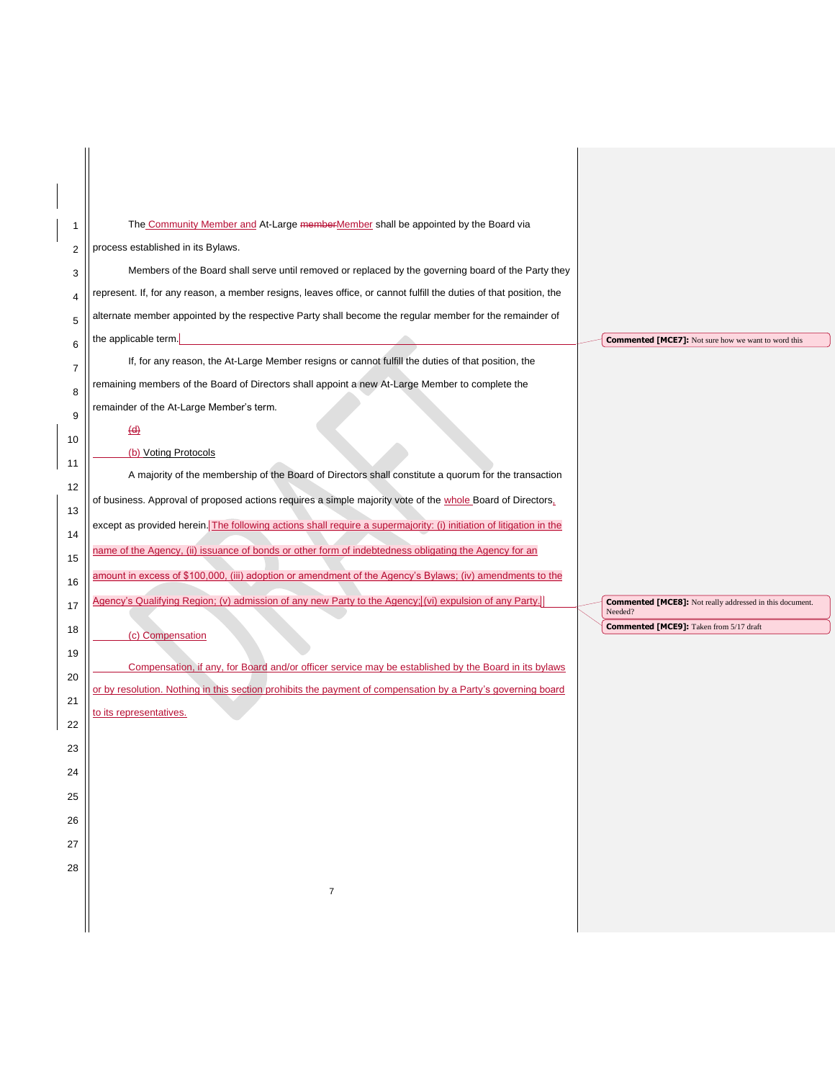| 1<br>2<br>3<br>4<br>5<br>6<br>$\overline{7}$<br>8<br>9<br>10<br>11<br>12<br>13<br>14<br>15<br>16<br>17<br>18<br>19<br>20<br>21<br>22<br>23<br>24<br>25<br>26<br>27<br>28 | The Community Member and At-Large memberMember shall be appointed by the Board via<br>process established in its Bylaws.<br>Members of the Board shall serve until removed or replaced by the governing board of the Party they<br>represent. If, for any reason, a member resigns, leaves office, or cannot fulfill the duties of that position, the<br>alternate member appointed by the respective Party shall become the regular member for the remainder of<br>the applicable term.<br>If, for any reason, the At-Large Member resigns or cannot fulfill the duties of that position, the<br>remaining members of the Board of Directors shall appoint a new At-Large Member to complete the<br>remainder of the At-Large Member's term.<br>$\overline{a}$<br>(b) Voting Protocols<br>A majority of the membership of the Board of Directors shall constitute a quorum for the transaction<br>of business. Approval of proposed actions requires a simple majority vote of the whole Board of Directors,<br>except as provided herein. The following actions shall require a supermajority: (i) initiation of litigation in the<br>name of the Agency, (ii) issuance of bonds or other form of indebtedness obligating the Agency for an<br>amount in excess of \$100,000, (iii) adoption or amendment of the Agency's Bylaws; (iv) amendments to the<br>Agency's Qualifying Region; (v) admission of any new Party to the Agency; (vi) expulsion of any Party.<br>(c) Compensation<br>Compensation, if any, for Board and/or officer service may be established by the Board in its bylaws<br>or by resolution. Nothing in this section prohibits the payment of compensation by a Party's governing board<br>to its representatives.<br>$\boldsymbol{7}$ | <b>Commented [MCE7]:</b> Not sure how we want to word this<br><b>Commented [MCE8]:</b> Not really addressed in this document.<br>Needed?<br><b>Commented [MCE9]:</b> Taken from 5/17 draft |
|--------------------------------------------------------------------------------------------------------------------------------------------------------------------------|-----------------------------------------------------------------------------------------------------------------------------------------------------------------------------------------------------------------------------------------------------------------------------------------------------------------------------------------------------------------------------------------------------------------------------------------------------------------------------------------------------------------------------------------------------------------------------------------------------------------------------------------------------------------------------------------------------------------------------------------------------------------------------------------------------------------------------------------------------------------------------------------------------------------------------------------------------------------------------------------------------------------------------------------------------------------------------------------------------------------------------------------------------------------------------------------------------------------------------------------------------------------------------------------------------------------------------------------------------------------------------------------------------------------------------------------------------------------------------------------------------------------------------------------------------------------------------------------------------------------------------------------------------------------------------------------------------------------------------------------------------------------|--------------------------------------------------------------------------------------------------------------------------------------------------------------------------------------------|
|--------------------------------------------------------------------------------------------------------------------------------------------------------------------------|-----------------------------------------------------------------------------------------------------------------------------------------------------------------------------------------------------------------------------------------------------------------------------------------------------------------------------------------------------------------------------------------------------------------------------------------------------------------------------------------------------------------------------------------------------------------------------------------------------------------------------------------------------------------------------------------------------------------------------------------------------------------------------------------------------------------------------------------------------------------------------------------------------------------------------------------------------------------------------------------------------------------------------------------------------------------------------------------------------------------------------------------------------------------------------------------------------------------------------------------------------------------------------------------------------------------------------------------------------------------------------------------------------------------------------------------------------------------------------------------------------------------------------------------------------------------------------------------------------------------------------------------------------------------------------------------------------------------------------------------------------------------|--------------------------------------------------------------------------------------------------------------------------------------------------------------------------------------------|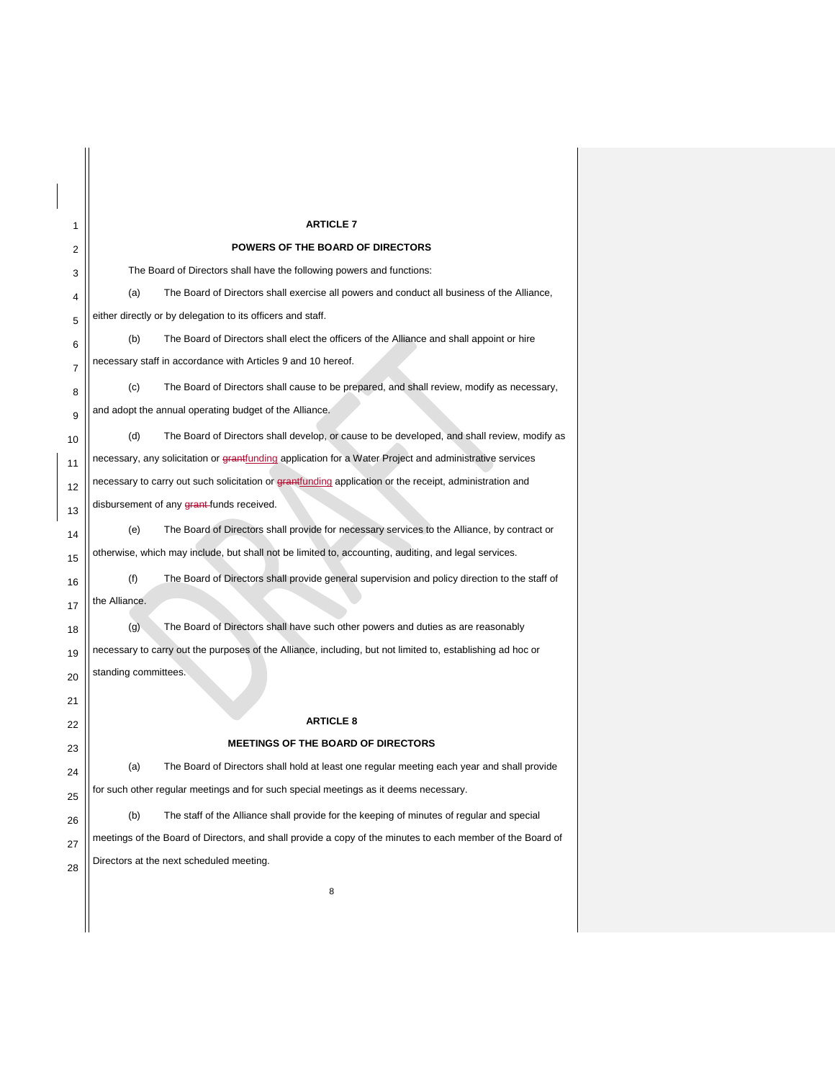| 1              | <b>ARTICLE 7</b>                                                                                           |  |
|----------------|------------------------------------------------------------------------------------------------------------|--|
| 2              | <b>POWERS OF THE BOARD OF DIRECTORS</b>                                                                    |  |
| 3              | The Board of Directors shall have the following powers and functions:                                      |  |
| 4              | (a)<br>The Board of Directors shall exercise all powers and conduct all business of the Alliance,          |  |
| 5              | either directly or by delegation to its officers and staff.                                                |  |
| 6              | (b)<br>The Board of Directors shall elect the officers of the Alliance and shall appoint or hire           |  |
| $\overline{7}$ | necessary staff in accordance with Articles 9 and 10 hereof.                                               |  |
| 8              | The Board of Directors shall cause to be prepared, and shall review, modify as necessary,<br>(c)           |  |
| 9              | and adopt the annual operating budget of the Alliance.                                                     |  |
| 10             | The Board of Directors shall develop, or cause to be developed, and shall review, modify as<br>(d)         |  |
| 11             | necessary, any solicitation or grantfunding application for a Water Project and administrative services    |  |
| 12             | necessary to carry out such solicitation or grantfunding application or the receipt, administration and    |  |
| 13             | disbursement of any grant funds received.                                                                  |  |
| 14             | The Board of Directors shall provide for necessary services to the Alliance, by contract or<br>(e)         |  |
| 15             | otherwise, which may include, but shall not be limited to, accounting, auditing, and legal services.       |  |
| 16             | The Board of Directors shall provide general supervision and policy direction to the staff of<br>(f)       |  |
| 17             | the Alliance.                                                                                              |  |
| 18             | (g)<br>The Board of Directors shall have such other powers and duties as are reasonably                    |  |
| 19             | necessary to carry out the purposes of the Alliance, including, but not limited to, establishing ad hoc or |  |
| 20             | standing committees.                                                                                       |  |
|                |                                                                                                            |  |
| 21             | <b>ARTICLE 8</b>                                                                                           |  |
| 22             | <b>MEETINGS OF THE BOARD OF DIRECTORS</b>                                                                  |  |
| 23             | (a)<br>The Board of Directors shall hold at least one regular meeting each year and shall provide          |  |
| 24             | for such other regular meetings and for such special meetings as it deems necessary.                       |  |
| 25             |                                                                                                            |  |
| 26             | (b)<br>The staff of the Alliance shall provide for the keeping of minutes of regular and special           |  |
| 27             | meetings of the Board of Directors, and shall provide a copy of the minutes to each member of the Board of |  |
| 28             | Directors at the next scheduled meeting.                                                                   |  |
|                | 8                                                                                                          |  |
|                |                                                                                                            |  |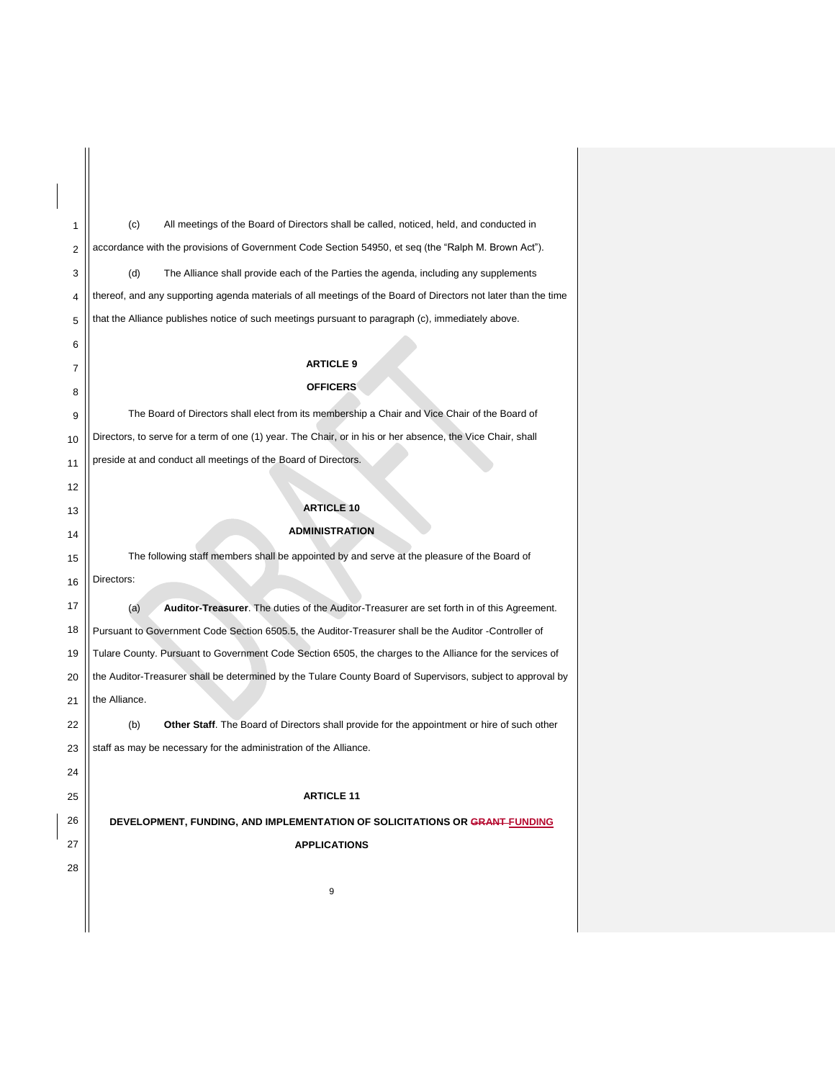| 1              | (c)<br>All meetings of the Board of Directors shall be called, noticed, held, and conducted in                 |  |
|----------------|----------------------------------------------------------------------------------------------------------------|--|
| $\overline{2}$ | accordance with the provisions of Government Code Section 54950, et seq (the "Ralph M. Brown Act").            |  |
| 3              | (d)<br>The Alliance shall provide each of the Parties the agenda, including any supplements                    |  |
| 4              | thereof, and any supporting agenda materials of all meetings of the Board of Directors not later than the time |  |
| 5              | that the Alliance publishes notice of such meetings pursuant to paragraph (c), immediately above.              |  |
| 6              |                                                                                                                |  |
| 7              | <b>ARTICLE 9</b>                                                                                               |  |
| 8              | <b>OFFICERS</b>                                                                                                |  |
| 9              | The Board of Directors shall elect from its membership a Chair and Vice Chair of the Board of                  |  |
| 10             | Directors, to serve for a term of one (1) year. The Chair, or in his or her absence, the Vice Chair, shall     |  |
| 11             | preside at and conduct all meetings of the Board of Directors.                                                 |  |
| 12             |                                                                                                                |  |
| 13             | <b>ARTICLE 10</b>                                                                                              |  |
| 14             | <b>ADMINISTRATION</b>                                                                                          |  |
| 15             | The following staff members shall be appointed by and serve at the pleasure of the Board of                    |  |
| 16             | Directors:                                                                                                     |  |
| 17             | (a)<br>Auditor-Treasurer. The duties of the Auditor-Treasurer are set forth in of this Agreement.              |  |
| 18             | Pursuant to Government Code Section 6505.5, the Auditor-Treasurer shall be the Auditor -Controller of          |  |
| 19             | Tulare County. Pursuant to Government Code Section 6505, the charges to the Alliance for the services of       |  |
| 20             | the Auditor-Treasurer shall be determined by the Tulare County Board of Supervisors, subject to approval by    |  |
| 21             | the Alliance.                                                                                                  |  |
| 22             | (b)<br><b>Other Staff.</b> The Board of Directors shall provide for the appointment or hire of such other      |  |
| 23             | staff as may be necessary for the administration of the Alliance.                                              |  |
| 24             |                                                                                                                |  |
| 25             | <b>ARTICLE 11</b>                                                                                              |  |
| 26             | DEVELOPMENT, FUNDING, AND IMPLEMENTATION OF SOLICITATIONS OR GRANT FUNDING                                     |  |
| 27             | <b>APPLICATIONS</b>                                                                                            |  |
| 28             |                                                                                                                |  |
|                | 9                                                                                                              |  |
|                |                                                                                                                |  |
|                |                                                                                                                |  |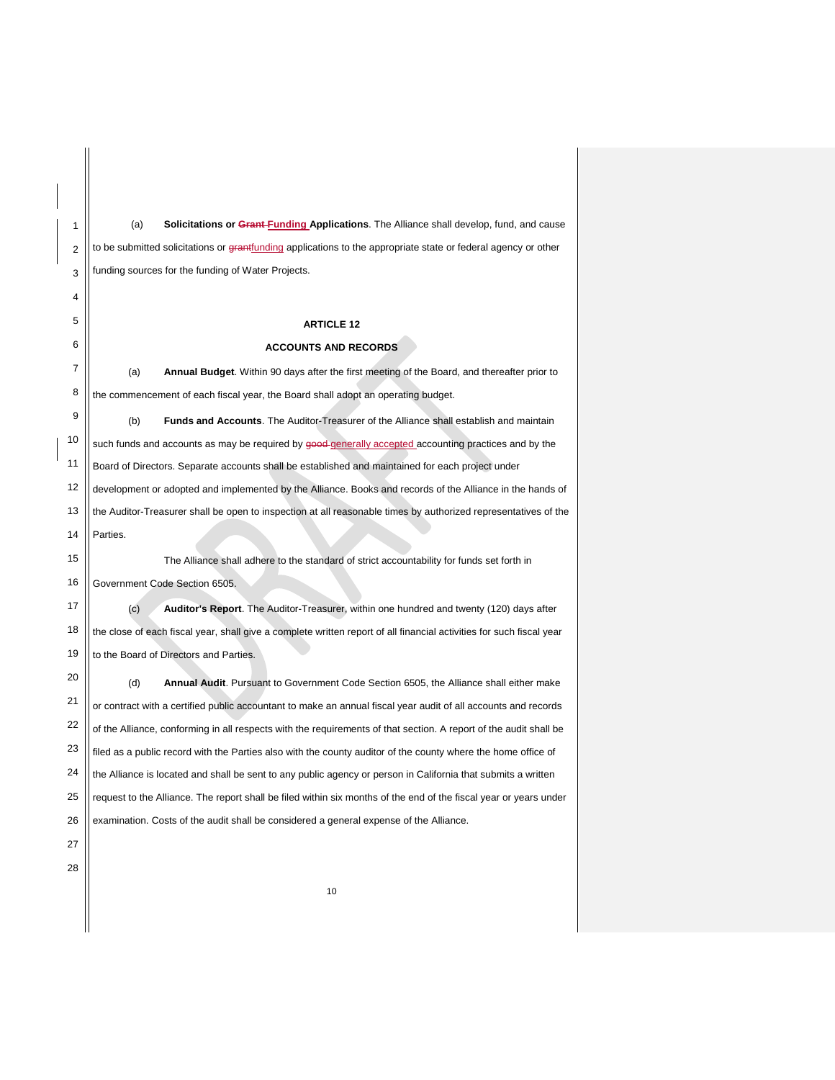| 1              | Solicitations or Grant Funding Applications. The Alliance shall develop, fund, and cause<br>(a)                      |
|----------------|----------------------------------------------------------------------------------------------------------------------|
| 2              | to be submitted solicitations or grantfunding applications to the appropriate state or federal agency or other       |
| 3              | funding sources for the funding of Water Projects.                                                                   |
| 4              |                                                                                                                      |
| 5              | <b>ARTICLE 12</b>                                                                                                    |
| 6              | <b>ACCOUNTS AND RECORDS</b>                                                                                          |
| $\overline{7}$ | Annual Budget. Within 90 days after the first meeting of the Board, and thereafter prior to<br>(a)                   |
| 8              | the commencement of each fiscal year, the Board shall adopt an operating budget.                                     |
| 9              | Funds and Accounts. The Auditor-Treasurer of the Alliance shall establish and maintain<br>(b)                        |
| 10             | such funds and accounts as may be required by good generally accepted accounting practices and by the                |
| 11             | Board of Directors. Separate accounts shall be established and maintained for each project under                     |
| 12             | development or adopted and implemented by the Alliance. Books and records of the Alliance in the hands of            |
| 13             | the Auditor-Treasurer shall be open to inspection at all reasonable times by authorized representatives of the       |
| 14             | Parties.                                                                                                             |
| 15             | The Alliance shall adhere to the standard of strict accountability for funds set forth in                            |
| 16             | Government Code Section 6505.                                                                                        |
| 17             | (c)<br>Auditor's Report. The Auditor-Treasurer, within one hundred and twenty (120) days after                       |
| 18             | the close of each fiscal year, shall give a complete written report of all financial activities for such fiscal year |
| 19             | to the Board of Directors and Parties.                                                                               |
| 20             | (d)<br>Annual Audit. Pursuant to Government Code Section 6505, the Alliance shall either make                        |
| 21             | or contract with a certified public accountant to make an annual fiscal year audit of all accounts and records       |
| 22             | of the Alliance, conforming in all respects with the requirements of that section. A report of the audit shall be    |
| 23             | filed as a public record with the Parties also with the county auditor of the county where the home office of        |
| 24             | the Alliance is located and shall be sent to any public agency or person in California that submits a written        |
| 25             | request to the Alliance. The report shall be filed within six months of the end of the fiscal year or years under    |
| 26             | examination. Costs of the audit shall be considered a general expense of the Alliance.                               |
| 27             |                                                                                                                      |
| 28             |                                                                                                                      |
|                |                                                                                                                      |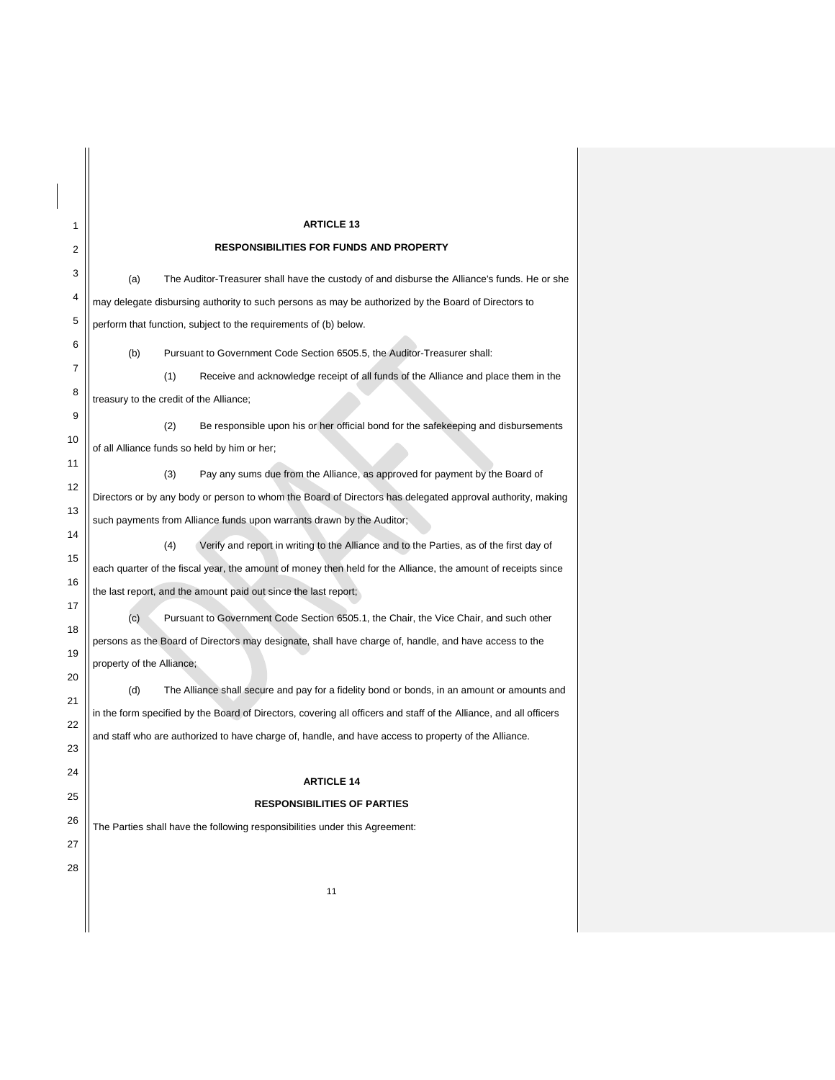| 1        | <b>ARTICLE 13</b>                                                                                                  |  |
|----------|--------------------------------------------------------------------------------------------------------------------|--|
| 2        | <b>RESPONSIBILITIES FOR FUNDS AND PROPERTY</b>                                                                     |  |
| 3        | (a)<br>The Auditor-Treasurer shall have the custody of and disburse the Alliance's funds. He or she                |  |
| 4        | may delegate disbursing authority to such persons as may be authorized by the Board of Directors to                |  |
| 5        | perform that function, subject to the requirements of (b) below.                                                   |  |
| 6        | Pursuant to Government Code Section 6505.5, the Auditor-Treasurer shall:<br>(b)                                    |  |
| 7        | (1)<br>Receive and acknowledge receipt of all funds of the Alliance and place them in the                          |  |
| 8        | treasury to the credit of the Alliance;                                                                            |  |
| 9        | Be responsible upon his or her official bond for the safekeeping and disbursements<br>(2)                          |  |
| 10       | of all Alliance funds so held by him or her;                                                                       |  |
| 11       | Pay any sums due from the Alliance, as approved for payment by the Board of<br>(3)                                 |  |
| 12       | Directors or by any body or person to whom the Board of Directors has delegated approval authority, making         |  |
| 13       | such payments from Alliance funds upon warrants drawn by the Auditor;                                              |  |
| 14       | Verify and report in writing to the Alliance and to the Parties, as of the first day of<br>(4)                     |  |
| 15       | each quarter of the fiscal year, the amount of money then held for the Alliance, the amount of receipts since      |  |
| 16       | the last report, and the amount paid out since the last report;                                                    |  |
| 17<br>18 | (c)<br>Pursuant to Government Code Section 6505.1, the Chair, the Vice Chair, and such other                       |  |
| 19       | persons as the Board of Directors may designate, shall have charge of, handle, and have access to the              |  |
| 20       | property of the Alliance;                                                                                          |  |
| 21       | (d)<br>The Alliance shall secure and pay for a fidelity bond or bonds, in an amount or amounts and                 |  |
| 22       | in the form specified by the Board of Directors, covering all officers and staff of the Alliance, and all officers |  |
| 23       | and staff who are authorized to have charge of, handle, and have access to property of the Alliance.               |  |
| 24       |                                                                                                                    |  |
| 25       | <b>ARTICLE 14</b>                                                                                                  |  |
| 26       | <b>RESPONSIBILITIES OF PARTIES</b>                                                                                 |  |
| 27       | The Parties shall have the following responsibilities under this Agreement:                                        |  |
| 28       |                                                                                                                    |  |
|          | 11                                                                                                                 |  |
|          |                                                                                                                    |  |
|          |                                                                                                                    |  |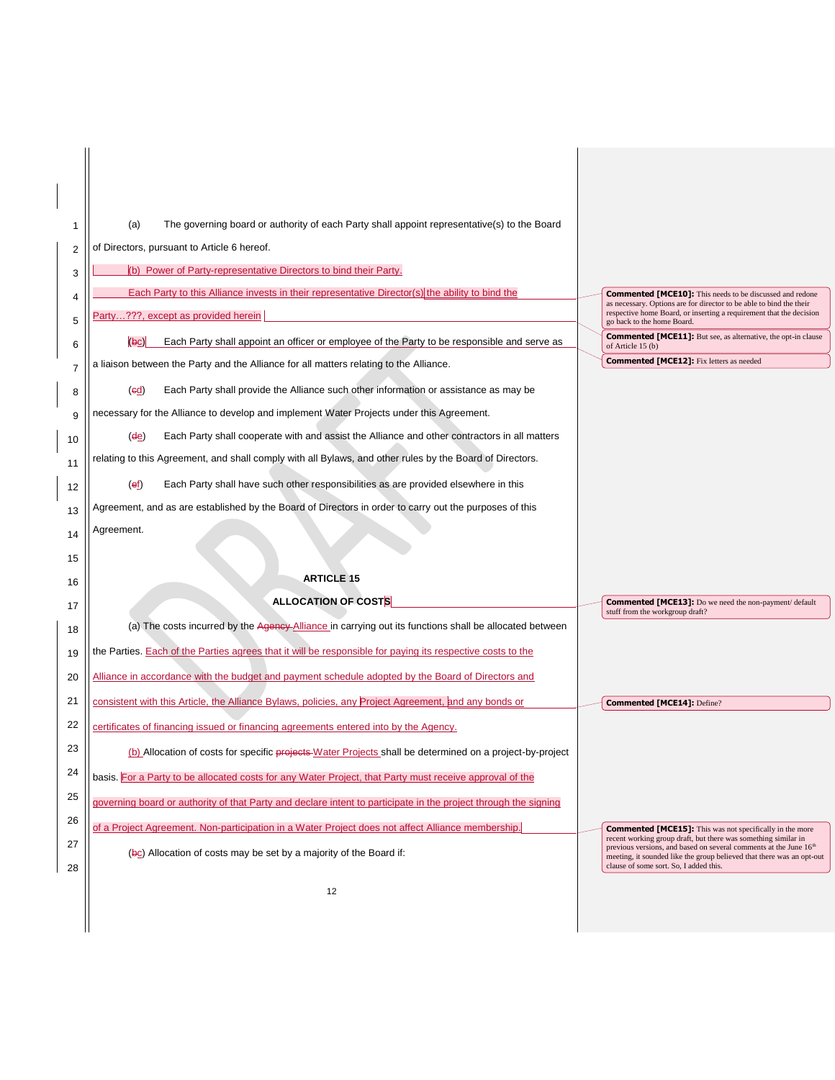| 1<br>2<br>3<br>4<br>5<br>6<br>$\overline{7}$<br>8<br>9<br>10<br>11<br>12<br>13<br>14 | The governing board or authority of each Party shall appoint representative(s) to the Board<br>(a)<br>of Directors, pursuant to Article 6 hereof.<br>(b) Power of Party-representative Directors to bind their Party.<br>Each Party to this Alliance invests in their representative Director(s) the ability to bind the<br>Party???, except as provided herein<br>$(\mathsf{bc})$<br>Each Party shall appoint an officer or employee of the Party to be responsible and serve as<br>a liaison between the Party and the Alliance for all matters relating to the Alliance.<br>Each Party shall provide the Alliance such other information or assistance as may be<br>$\left(\underline{\mathsf{ed}}\right)$<br>necessary for the Alliance to develop and implement Water Projects under this Agreement.<br>Each Party shall cooperate with and assist the Alliance and other contractors in all matters<br>(d <u>e</u> )<br>relating to this Agreement, and shall comply with all Bylaws, and other rules by the Board of Directors.<br>Each Party shall have such other responsibilities as are provided elsewhere in this<br>(ef)<br>Agreement, and as are established by the Board of Directors in order to carry out the purposes of this<br>Agreement. | <b>Commented [MCE10]:</b> This needs to be discussed and redone<br>as necessary. Options are for director to be able to bind the their<br>respective home Board, or inserting a requirement that the decision<br>go back to the home Board.<br><b>Commented [MCE11]:</b> But see, as alternative, the opt-in clause<br>of Article 15 (b)<br><b>Commented [MCE12]:</b> Fix letters as needed |
|--------------------------------------------------------------------------------------|---------------------------------------------------------------------------------------------------------------------------------------------------------------------------------------------------------------------------------------------------------------------------------------------------------------------------------------------------------------------------------------------------------------------------------------------------------------------------------------------------------------------------------------------------------------------------------------------------------------------------------------------------------------------------------------------------------------------------------------------------------------------------------------------------------------------------------------------------------------------------------------------------------------------------------------------------------------------------------------------------------------------------------------------------------------------------------------------------------------------------------------------------------------------------------------------------------------------------------------------------------------|---------------------------------------------------------------------------------------------------------------------------------------------------------------------------------------------------------------------------------------------------------------------------------------------------------------------------------------------------------------------------------------------|
| 15<br>16                                                                             | <b>ARTICLE 15</b>                                                                                                                                                                                                                                                                                                                                                                                                                                                                                                                                                                                                                                                                                                                                                                                                                                                                                                                                                                                                                                                                                                                                                                                                                                             |                                                                                                                                                                                                                                                                                                                                                                                             |
| 17                                                                                   | <b>ALLOCATION OF COSTS</b>                                                                                                                                                                                                                                                                                                                                                                                                                                                                                                                                                                                                                                                                                                                                                                                                                                                                                                                                                                                                                                                                                                                                                                                                                                    | <b>Commented [MCE13]:</b> Do we need the non-payment/ default<br>stuff from the workgroup draft?                                                                                                                                                                                                                                                                                            |
| 18                                                                                   | (a) The costs incurred by the Agency Alliance in carrying out its functions shall be allocated between                                                                                                                                                                                                                                                                                                                                                                                                                                                                                                                                                                                                                                                                                                                                                                                                                                                                                                                                                                                                                                                                                                                                                        |                                                                                                                                                                                                                                                                                                                                                                                             |
| 19                                                                                   | the Parties. Each of the Parties agrees that it will be responsible for paying its respective costs to the                                                                                                                                                                                                                                                                                                                                                                                                                                                                                                                                                                                                                                                                                                                                                                                                                                                                                                                                                                                                                                                                                                                                                    |                                                                                                                                                                                                                                                                                                                                                                                             |
| 20                                                                                   | Alliance in accordance with the budget and payment schedule adopted by the Board of Directors and                                                                                                                                                                                                                                                                                                                                                                                                                                                                                                                                                                                                                                                                                                                                                                                                                                                                                                                                                                                                                                                                                                                                                             |                                                                                                                                                                                                                                                                                                                                                                                             |
| 21                                                                                   | consistent with this Article, the Alliance Bylaws, policies, any Project Agreement, and any bonds or                                                                                                                                                                                                                                                                                                                                                                                                                                                                                                                                                                                                                                                                                                                                                                                                                                                                                                                                                                                                                                                                                                                                                          | Commented [MCE14]: Define?                                                                                                                                                                                                                                                                                                                                                                  |
| 22                                                                                   | certificates of financing issued or financing agreements entered into by the Agency.                                                                                                                                                                                                                                                                                                                                                                                                                                                                                                                                                                                                                                                                                                                                                                                                                                                                                                                                                                                                                                                                                                                                                                          |                                                                                                                                                                                                                                                                                                                                                                                             |
| 23                                                                                   | (b) Allocation of costs for specific projects Water Projects shall be determined on a project-by-project                                                                                                                                                                                                                                                                                                                                                                                                                                                                                                                                                                                                                                                                                                                                                                                                                                                                                                                                                                                                                                                                                                                                                      |                                                                                                                                                                                                                                                                                                                                                                                             |
| 24                                                                                   | basis. For a Party to be allocated costs for any Water Project, that Party must receive approval of the                                                                                                                                                                                                                                                                                                                                                                                                                                                                                                                                                                                                                                                                                                                                                                                                                                                                                                                                                                                                                                                                                                                                                       |                                                                                                                                                                                                                                                                                                                                                                                             |
| 25                                                                                   | governing board or authority of that Party and declare intent to participate in the project through the signing                                                                                                                                                                                                                                                                                                                                                                                                                                                                                                                                                                                                                                                                                                                                                                                                                                                                                                                                                                                                                                                                                                                                               |                                                                                                                                                                                                                                                                                                                                                                                             |
| 26                                                                                   | of a Project Agreement. Non-participation in a Water Project does not affect Alliance membership.                                                                                                                                                                                                                                                                                                                                                                                                                                                                                                                                                                                                                                                                                                                                                                                                                                                                                                                                                                                                                                                                                                                                                             | <b>Commented [MCE15]:</b> This was not specifically in the more<br>recent working group draft, but there was something similar in                                                                                                                                                                                                                                                           |
| 27<br>28                                                                             | (bc) Allocation of costs may be set by a majority of the Board if:                                                                                                                                                                                                                                                                                                                                                                                                                                                                                                                                                                                                                                                                                                                                                                                                                                                                                                                                                                                                                                                                                                                                                                                            | previous versions, and based on several comments at the June 16 <sup>th</sup><br>meeting, it sounded like the group believed that there was an opt-out<br>clause of some sort. So, I added this.                                                                                                                                                                                            |
|                                                                                      | 12                                                                                                                                                                                                                                                                                                                                                                                                                                                                                                                                                                                                                                                                                                                                                                                                                                                                                                                                                                                                                                                                                                                                                                                                                                                            |                                                                                                                                                                                                                                                                                                                                                                                             |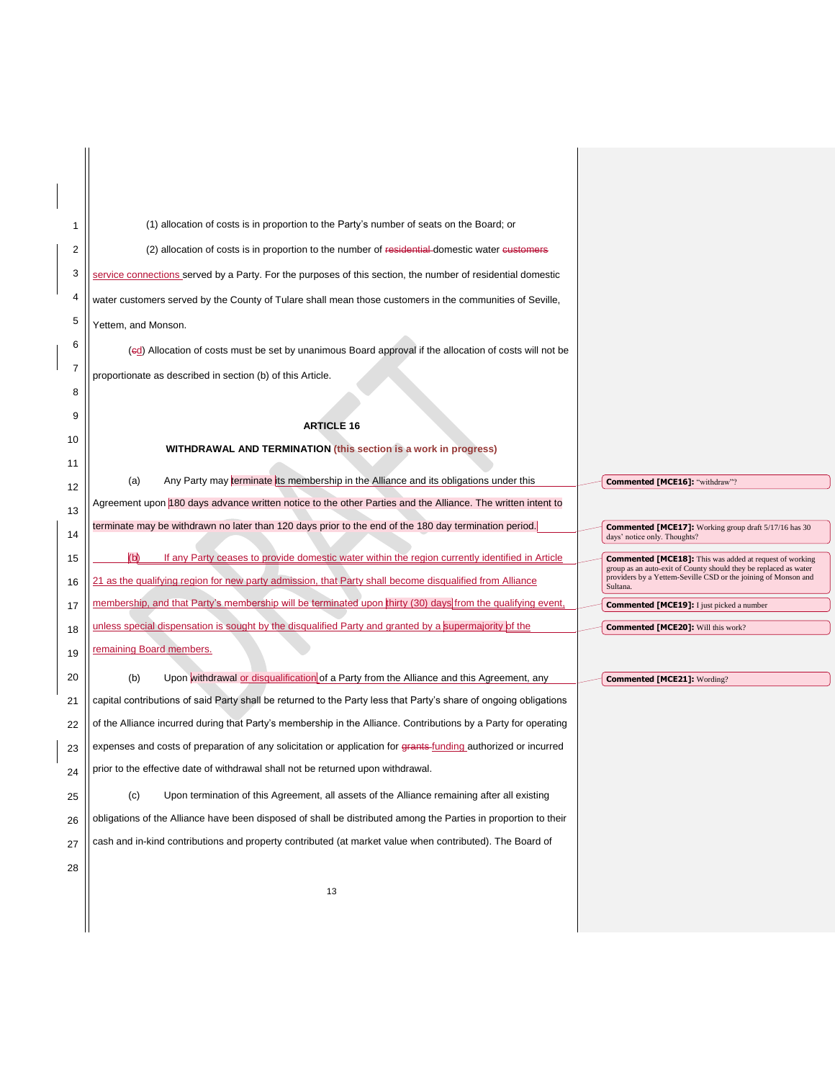| 1  | (1) allocation of costs is in proportion to the Party's number of seats on the Board; or                          |  |
|----|-------------------------------------------------------------------------------------------------------------------|--|
| 2  | (2) allocation of costs is in proportion to the number of residential-domestic water eustomers                    |  |
| 3  | service connections served by a Party. For the purposes of this section, the number of residential domestic       |  |
| 4  | water customers served by the County of Tulare shall mean those customers in the communities of Seville,          |  |
| 5  | Yettem, and Monson.                                                                                               |  |
| 6  | (ed) Allocation of costs must be set by unanimous Board approval if the allocation of costs will not be           |  |
| 7  | proportionate as described in section (b) of this Article.                                                        |  |
| 8  |                                                                                                                   |  |
| 9  | <b>ARTICLE 16</b>                                                                                                 |  |
| 10 | WITHDRAWAL AND TERMINATION (this section is a work in progress)                                                   |  |
| 11 |                                                                                                                   |  |
| 12 | Any Party may terminate its membership in the Alliance and its obligations under this<br>(a)                      |  |
| 13 | Agreement upon 180 days advance written notice to the other Parties and the Alliance. The written intent to       |  |
| 14 | terminate may be withdrawn no later than 120 days prior to the end of the 180 day termination period.             |  |
| 15 | (p)<br>If any Party ceases to provide domestic water within the region currently identified in Article            |  |
| 16 | 21 as the qualifying region for new party admission, that Party shall become disqualified from Alliance           |  |
| 17 | membership, and that Party's membership will be terminated upon thirty (30) days from the qualifying event,       |  |
| 18 | unless special dispensation is sought by the disqualified Party and granted by a supermajority of the             |  |
| 19 | remaining Board members.                                                                                          |  |
| 20 | Upon withdrawal or disqualification of a Party from the Alliance and this Agreement, any<br>(b)                   |  |
| 21 | capital contributions of said Party shall be returned to the Party less that Party's share of ongoing obligations |  |
| 22 | of the Alliance incurred during that Party's membership in the Alliance. Contributions by a Party for operating   |  |
| 23 | expenses and costs of preparation of any solicitation or application for grants-funding authorized or incurred    |  |
| 24 | prior to the effective date of withdrawal shall not be returned upon withdrawal.                                  |  |
| 25 | Upon termination of this Agreement, all assets of the Alliance remaining after all existing<br>(c)                |  |
| 26 | obligations of the Alliance have been disposed of shall be distributed among the Parties in proportion to their   |  |
| 27 | cash and in-kind contributions and property contributed (at market value when contributed). The Board of          |  |
| 28 |                                                                                                                   |  |
|    | 13                                                                                                                |  |

 $\frac{1}{2}$ 

**Commented [MCE16]:** "withdraw"?

**Commented [MCE17]:** Working group draft 5/17/16 has 30 days' notice only. Thoughts?

**Commented [MCE18]:** This was added at request of working group as an auto-exit of County should they be replaced as water providers by a Yettem-Seville CSD or the joining of Monson and Sultana.

**Commented [MCE19]:** I just picked a number

**Commented [MCE20]:** Will this work?

**Commented [MCE21]:** Wording?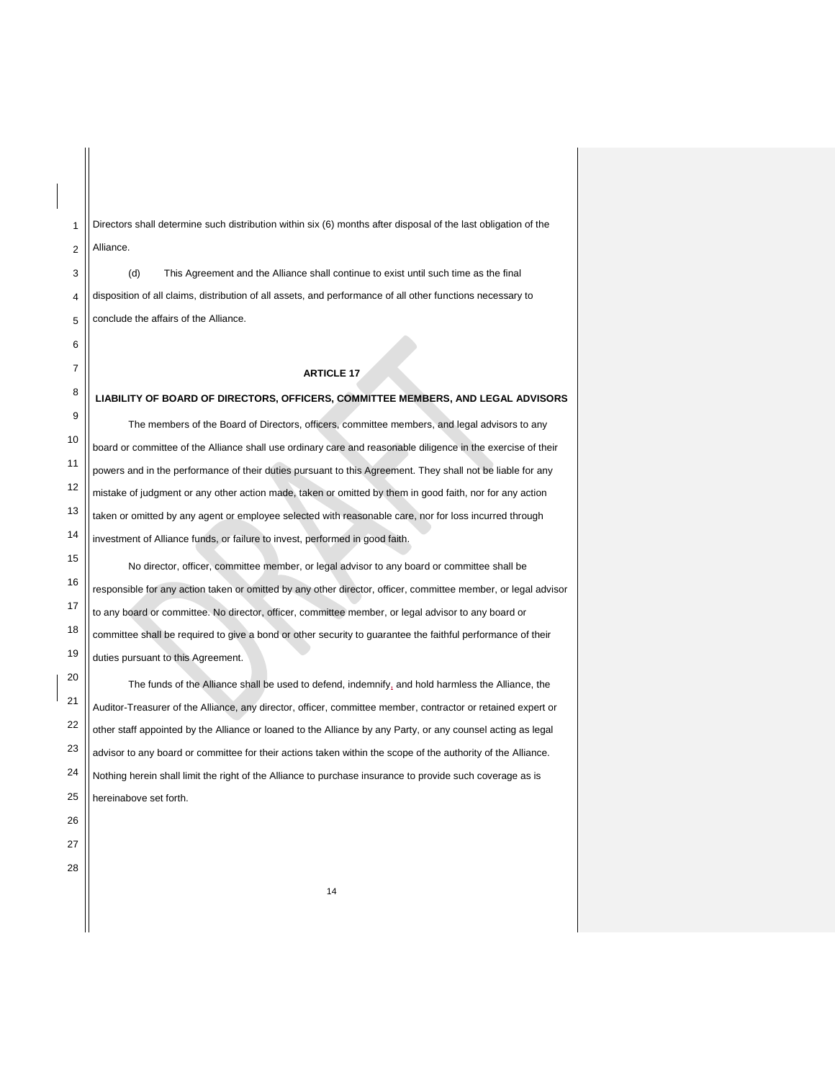| 1  | Directors shall determine such distribution within six (6) months after disposal of the last obligation of the |
|----|----------------------------------------------------------------------------------------------------------------|
| 2  | Alliance.                                                                                                      |
| 3  | (d)<br>This Agreement and the Alliance shall continue to exist until such time as the final                    |
| 4  | disposition of all claims, distribution of all assets, and performance of all other functions necessary to     |
| 5  | conclude the affairs of the Alliance.                                                                          |
| 6  |                                                                                                                |
| 7  |                                                                                                                |
| 8  | <b>ARTICLE 17</b>                                                                                              |
| 9  | LIABILITY OF BOARD OF DIRECTORS, OFFICERS, COMMITTEE MEMBERS, AND LEGAL ADVISORS                               |
| 10 | The members of the Board of Directors, officers, committee members, and legal advisors to any                  |
| 11 | board or committee of the Alliance shall use ordinary care and reasonable diligence in the exercise of their   |
|    | powers and in the performance of their duties pursuant to this Agreement. They shall not be liable for any     |
| 12 | mistake of judgment or any other action made, taken or omitted by them in good faith, nor for any action       |
| 13 | taken or omitted by any agent or employee selected with reasonable care, nor for loss incurred through         |
| 14 | investment of Alliance funds, or failure to invest, performed in good faith.                                   |
| 15 | No director, officer, committee member, or legal advisor to any board or committee shall be                    |
| 16 | responsible for any action taken or omitted by any other director, officer, committee member, or legal advisor |
| 17 | to any board or committee. No director, officer, committee member, or legal advisor to any board or            |
| 18 | committee shall be required to give a bond or other security to guarantee the faithful performance of their    |
| 19 | duties pursuant to this Agreement.                                                                             |
| 20 | The funds of the Alliance shall be used to defend, indemnify, and hold harmless the Alliance, the              |
| 21 | Auditor-Treasurer of the Alliance, any director, officer, committee member, contractor or retained expert or   |
| 22 | other staff appointed by the Alliance or loaned to the Alliance by any Party, or any counsel acting as legal   |
| 23 | advisor to any board or committee for their actions taken within the scope of the authority of the Alliance.   |
| 24 | Nothing herein shall limit the right of the Alliance to purchase insurance to provide such coverage as is      |
| 25 | hereinabove set forth.                                                                                         |
| 26 |                                                                                                                |
| 27 |                                                                                                                |
| 28 |                                                                                                                |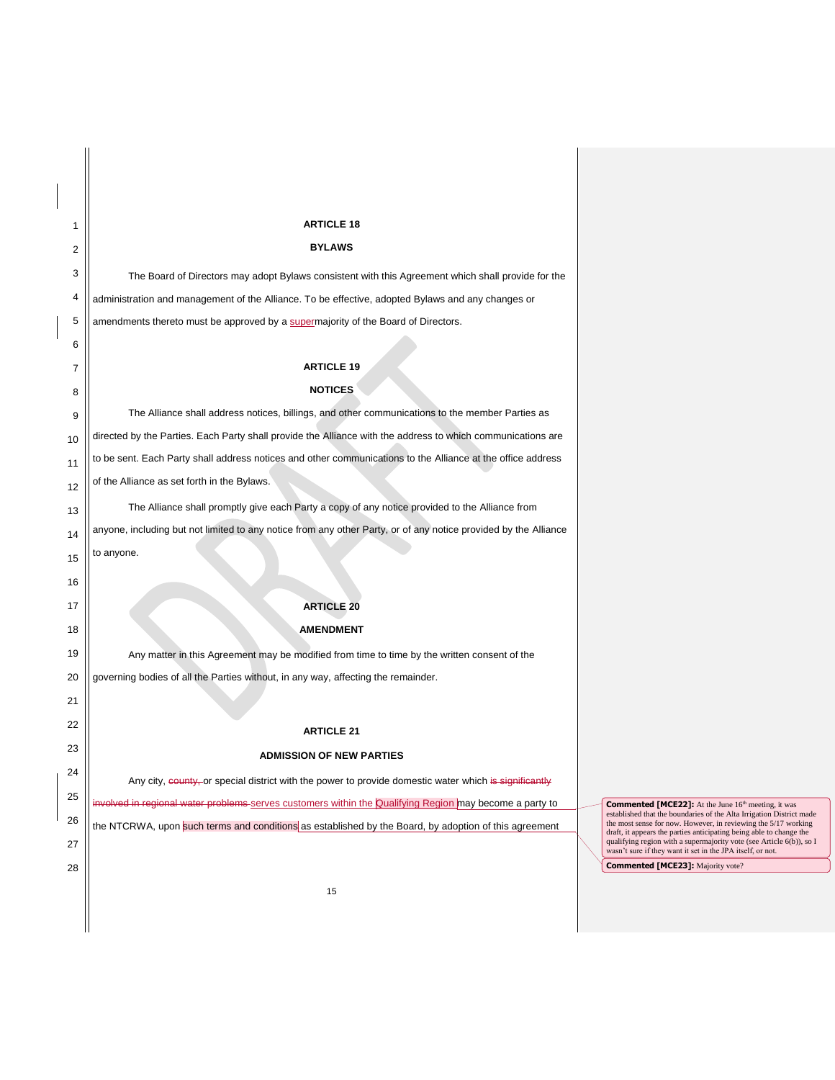| 1  | <b>ARTICLE 18</b>                                                                                               |                                                                                                                                                                                                           |
|----|-----------------------------------------------------------------------------------------------------------------|-----------------------------------------------------------------------------------------------------------------------------------------------------------------------------------------------------------|
| 2  | <b>BYLAWS</b>                                                                                                   |                                                                                                                                                                                                           |
| 3  | The Board of Directors may adopt Bylaws consistent with this Agreement which shall provide for the              |                                                                                                                                                                                                           |
| 4  | administration and management of the Alliance. To be effective, adopted Bylaws and any changes or               |                                                                                                                                                                                                           |
| 5  | amendments thereto must be approved by a supermajority of the Board of Directors.                               |                                                                                                                                                                                                           |
| 6  |                                                                                                                 |                                                                                                                                                                                                           |
| 7  | <b>ARTICLE 19</b>                                                                                               |                                                                                                                                                                                                           |
| 8  | <b>NOTICES</b>                                                                                                  |                                                                                                                                                                                                           |
| 9  | The Alliance shall address notices, billings, and other communications to the member Parties as                 |                                                                                                                                                                                                           |
| 10 | directed by the Parties. Each Party shall provide the Alliance with the address to which communications are     |                                                                                                                                                                                                           |
| 11 | to be sent. Each Party shall address notices and other communications to the Alliance at the office address     |                                                                                                                                                                                                           |
| 12 | of the Alliance as set forth in the Bylaws.                                                                     |                                                                                                                                                                                                           |
| 13 | The Alliance shall promptly give each Party a copy of any notice provided to the Alliance from                  |                                                                                                                                                                                                           |
| 14 | anyone, including but not limited to any notice from any other Party, or of any notice provided by the Alliance |                                                                                                                                                                                                           |
| 15 | to anyone.                                                                                                      |                                                                                                                                                                                                           |
| 16 |                                                                                                                 |                                                                                                                                                                                                           |
| 17 | <b>ARTICLE 20</b>                                                                                               |                                                                                                                                                                                                           |
| 18 | <b>AMENDMENT</b>                                                                                                |                                                                                                                                                                                                           |
| 19 | Any matter in this Agreement may be modified from time to time by the written consent of the                    |                                                                                                                                                                                                           |
| 20 | governing bodies of all the Parties without, in any way, affecting the remainder.                               |                                                                                                                                                                                                           |
| 21 |                                                                                                                 |                                                                                                                                                                                                           |
| 22 | <b>ARTICLE 21</b>                                                                                               |                                                                                                                                                                                                           |
| 23 | <b>SION OF NEW PARTIES</b>                                                                                      |                                                                                                                                                                                                           |
| 24 | Any city, county, or special district with the power to provide domestic water which is significantly           |                                                                                                                                                                                                           |
| 25 | involved in regional water problems serves customers within the Qualifying Region may become a party to         | <b>Commented [MCE22]:</b> At the June 16 <sup>th</sup> meeting, it was                                                                                                                                    |
| 26 | the NTCRWA, upon such terms and conditions as established by the Board, by adoption of this agreement           | established that the boundaries of the Alta Irrigation District made<br>the most sense for now. However, in reviewing the 5/17 working                                                                    |
| 27 |                                                                                                                 | draft, it appears the parties anticipating being able to change the<br>qualifying region with a supermajority vote (see Article 6(b)), so I<br>wasn't sure if they want it set in the JPA itself, or not. |
| 28 |                                                                                                                 | <b>Commented [MCE23]: Majority vote?</b>                                                                                                                                                                  |
|    | 15                                                                                                              |                                                                                                                                                                                                           |
|    |                                                                                                                 |                                                                                                                                                                                                           |
|    |                                                                                                                 |                                                                                                                                                                                                           |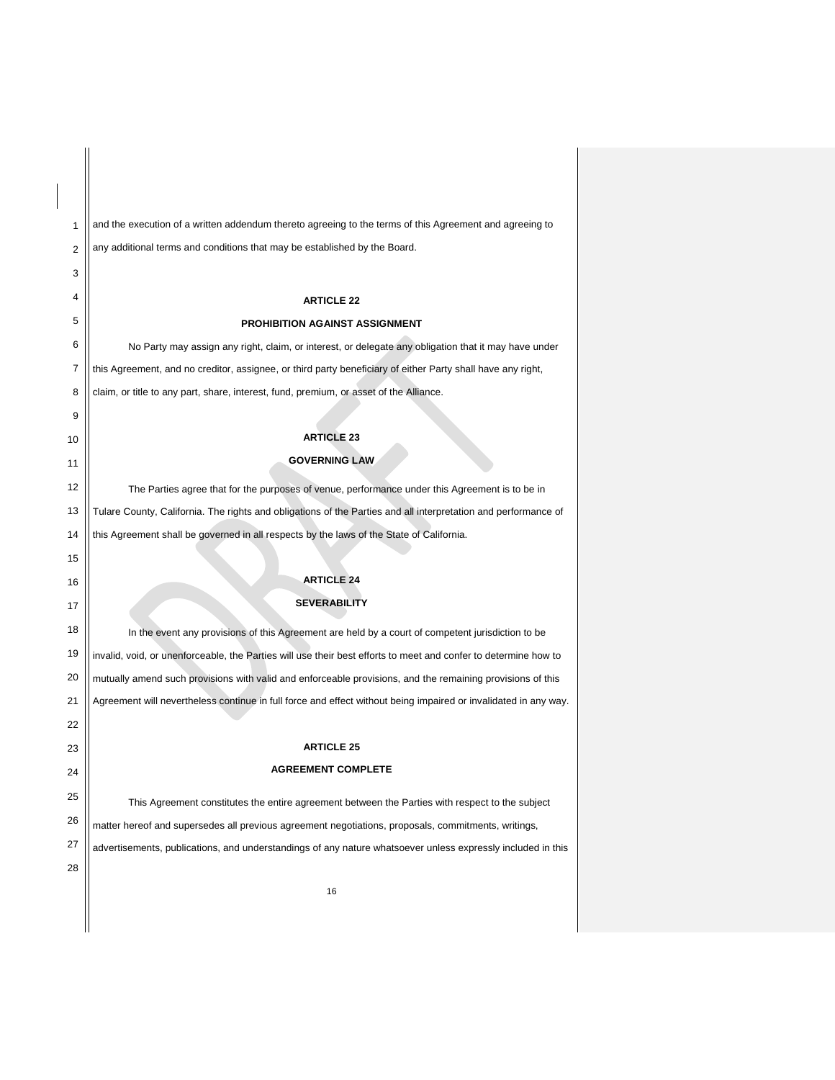| 1              | and the execution of a written addendum thereto agreeing to the terms of this Agreement and agreeing to         |  |  |  |  |  |
|----------------|-----------------------------------------------------------------------------------------------------------------|--|--|--|--|--|
| $\overline{2}$ | any additional terms and conditions that may be established by the Board.                                       |  |  |  |  |  |
| 3              |                                                                                                                 |  |  |  |  |  |
| 4              | <b>ARTICLE 22</b>                                                                                               |  |  |  |  |  |
| 5              | <b>PROHIBITION AGAINST ASSIGNMENT</b>                                                                           |  |  |  |  |  |
| 6              | No Party may assign any right, claim, or interest, or delegate any obligation that it may have under            |  |  |  |  |  |
| 7              | this Agreement, and no creditor, assignee, or third party beneficiary of either Party shall have any right,     |  |  |  |  |  |
| 8              | claim, or title to any part, share, interest, fund, premium, or asset of the Alliance.                          |  |  |  |  |  |
| 9              |                                                                                                                 |  |  |  |  |  |
| 10             | <b>ARTICLE 23</b>                                                                                               |  |  |  |  |  |
| 11             | <b>GOVERNING LAW</b>                                                                                            |  |  |  |  |  |
| 12             | The Parties agree that for the purposes of venue, performance under this Agreement is to be in                  |  |  |  |  |  |
| 13             | Tulare County, California. The rights and obligations of the Parties and all interpretation and performance of  |  |  |  |  |  |
| 14             | this Agreement shall be governed in all respects by the laws of the State of California.                        |  |  |  |  |  |
| 15             |                                                                                                                 |  |  |  |  |  |
| 16             | <b>ARTICLE 24</b>                                                                                               |  |  |  |  |  |
| 17             | <b>SEVERABILITY</b>                                                                                             |  |  |  |  |  |
| 18             | In the event any provisions of this Agreement are held by a court of competent jurisdiction to be               |  |  |  |  |  |
| 19             | invalid, void, or unenforceable, the Parties will use their best efforts to meet and confer to determine how to |  |  |  |  |  |
| 20             | mutually amend such provisions with valid and enforceable provisions, and the remaining provisions of this      |  |  |  |  |  |
| 21             | Agreement will nevertheless continue in full force and effect without being impaired or invalidated in any way. |  |  |  |  |  |
| 22             |                                                                                                                 |  |  |  |  |  |
| 23             | <b>ARTICLE 25</b>                                                                                               |  |  |  |  |  |
| 24             | <b>AGREEMENT COMPLETE</b>                                                                                       |  |  |  |  |  |
| 25             | This Agreement constitutes the entire agreement between the Parties with respect to the subject                 |  |  |  |  |  |
| 26             | matter hereof and supersedes all previous agreement negotiations, proposals, commitments, writings,             |  |  |  |  |  |
| 27             | advertisements, publications, and understandings of any nature whatsoever unless expressly included in this     |  |  |  |  |  |
| 28             |                                                                                                                 |  |  |  |  |  |
|                | 16                                                                                                              |  |  |  |  |  |
|                |                                                                                                                 |  |  |  |  |  |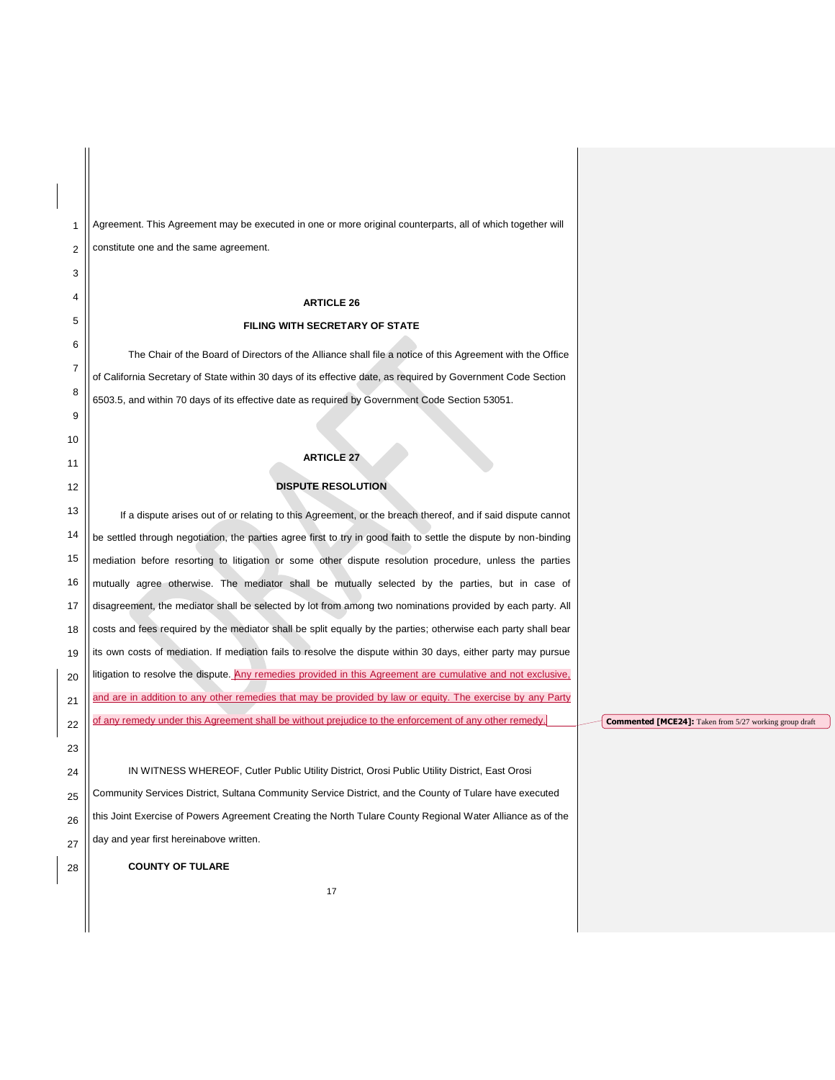| 1  | Agreement. This Agreement may be executed in one or more original counterparts, all of which together will        |                                                               |
|----|-------------------------------------------------------------------------------------------------------------------|---------------------------------------------------------------|
| 2  | constitute one and the same agreement.                                                                            |                                                               |
| 3  |                                                                                                                   |                                                               |
| 4  | <b>ARTICLE 26</b>                                                                                                 |                                                               |
| 5  | <b>FILING WITH SECRETARY OF STATE</b>                                                                             |                                                               |
| 6  | The Chair of the Board of Directors of the Alliance shall file a notice of this Agreement with the Office         |                                                               |
| 7  | of California Secretary of State within 30 days of its effective date, as required by Government Code Section     |                                                               |
| 8  | 6503.5, and within 70 days of its effective date as required by Government Code Section 53051.                    |                                                               |
| 9  |                                                                                                                   |                                                               |
| 10 |                                                                                                                   |                                                               |
| 11 | <b>ARTICLE 27</b>                                                                                                 |                                                               |
| 12 | <b>DISPUTE RESOLUTION</b>                                                                                         |                                                               |
| 13 | If a dispute arises out of or relating to this Agreement, or the breach thereof, and if said dispute cannot       |                                                               |
| 14 | be settled through negotiation, the parties agree first to try in good faith to settle the dispute by non-binding |                                                               |
| 15 | mediation before resorting to litigation or some other dispute resolution procedure, unless the parties           |                                                               |
| 16 | mutually agree otherwise. The mediator shall be mutually selected by the parties, but in case of                  |                                                               |
| 17 | disagreement, the mediator shall be selected by lot from among two nominations provided by each party. All        |                                                               |
| 18 | costs and fees required by the mediator shall be split equally by the parties; otherwise each party shall bear    |                                                               |
| 19 | its own costs of mediation. If mediation fails to resolve the dispute within 30 days, either party may pursue     |                                                               |
| 20 | litigation to resolve the dispute. Any remedies provided in this Agreement are cumulative and not exclusive,      |                                                               |
| 21 | and are in addition to any other remedies that may be provided by law or equity. The exercise by any Party        |                                                               |
| 22 | of any remedy under this Agreement shall be without prejudice to the enforcement of any other remedy.             | <b>Commented [MCE24]:</b> Taken from 5/27 working group draft |
| 23 |                                                                                                                   |                                                               |
| 24 | IN WITNESS WHEREOF, Cutler Public Utility District, Orosi Public Utility District, East Orosi                     |                                                               |
| 25 | Community Services District, Sultana Community Service District, and the County of Tulare have executed           |                                                               |
| 26 | this Joint Exercise of Powers Agreement Creating the North Tulare County Regional Water Alliance as of the        |                                                               |
| 27 | day and year first hereinabove written.                                                                           |                                                               |
| 28 | <b>COUNTY OF TULARE</b>                                                                                           |                                                               |
|    | 17                                                                                                                |                                                               |
|    |                                                                                                                   |                                                               |
|    |                                                                                                                   |                                                               |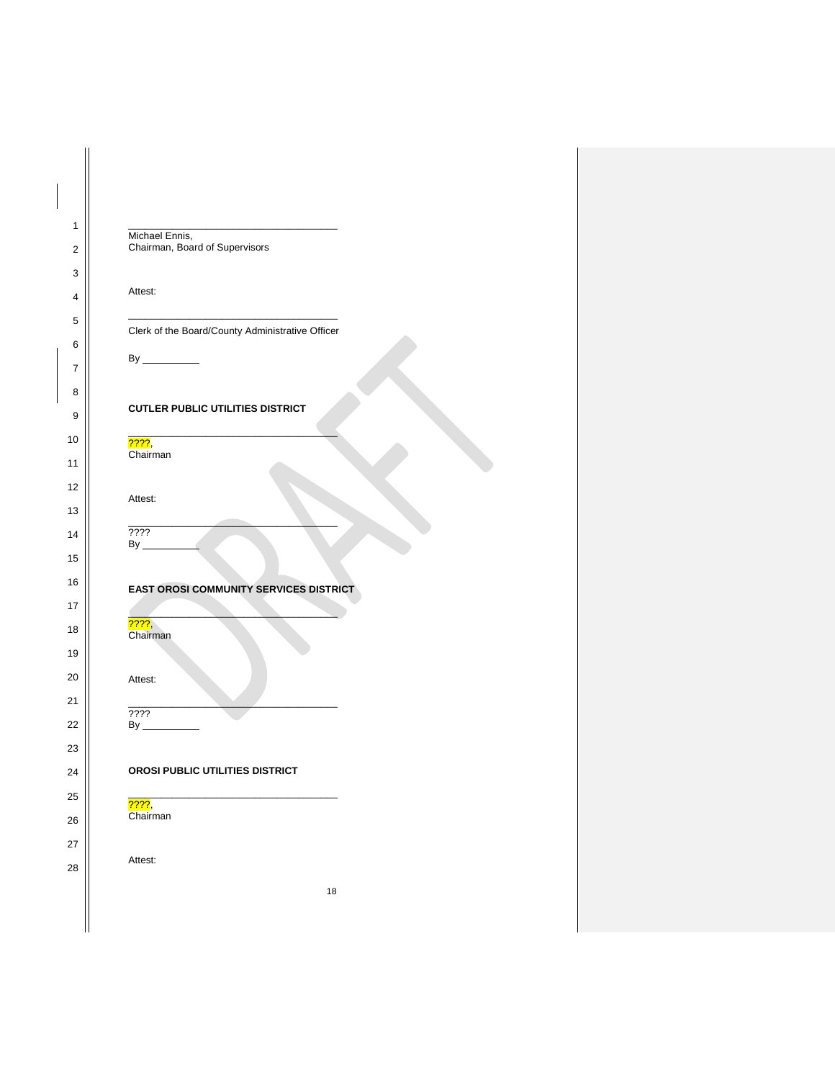Michael Ennis, Chairman, Board of Supervisors

Attest:

\_\_\_\_\_\_\_\_\_\_\_\_\_\_\_\_\_\_\_\_\_\_\_\_\_\_\_\_\_\_\_\_\_\_\_\_\_\_ Clerk of the Board/County Administrative Officer

 $\overline{\phantom{a}}$  , and the set of the set of the set of the set of the set of the set of the set of the set of the set of the set of the set of the set of the set of the set of the set of the set of the set of the set of the s

 $\overline{\phantom{a}}$  , and the set of the set of the set of the set of the set of the set of the set of the set of the set of the set of the set of the set of the set of the set of the set of the set of the set of the set of the s

 $\overline{\phantom{a}}$  , and the set of the set of the set of the set of the set of the set of the set of the set of the set of the set of the set of the set of the set of the set of the set of the set of the set of the set of the s

By

## **CUTLER PUBLIC UTILITIES DISTRICT**

<mark>????</mark>, Chairman

Attest:

???? By

## **EAST OROSI COMMUNITY SERVICES DISTRICT**

 $\overline{\phantom{a}}$  , where  $\overline{\phantom{a}}$  , where  $\overline{\phantom{a}}$  , where  $\overline{\phantom{a}}$ 

 $\overline{\phantom{a}}$  , and the set of the set of the set of the set of the set of the set of the set of the set of the set of the set of the set of the set of the set of the set of the set of the set of the set of the set of the s

<mark>????</mark>, Chairman

Attest:

???? By

## **OROSI PUBLIC UTILITIES DISTRICT**

\_\_\_\_\_\_\_\_\_\_\_\_\_\_\_\_\_\_\_\_\_\_\_\_\_\_\_\_\_\_\_\_\_\_\_\_\_\_ <mark>????</mark>, Chairman

Attest: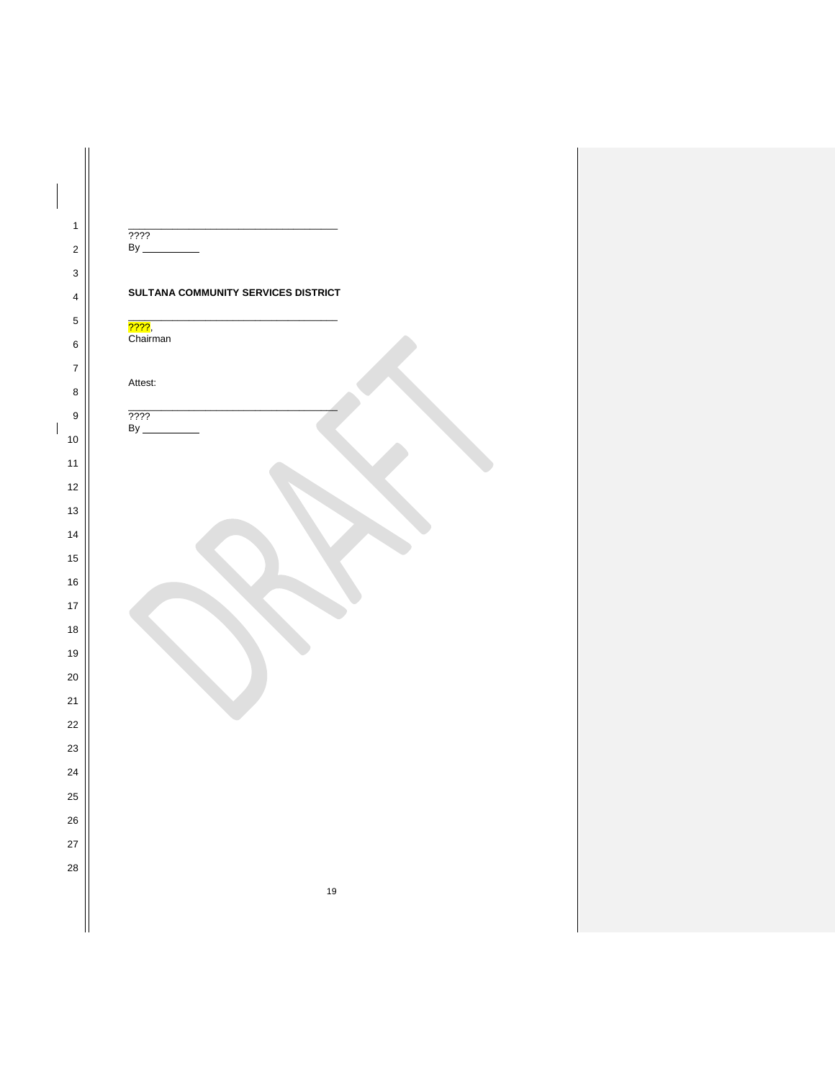